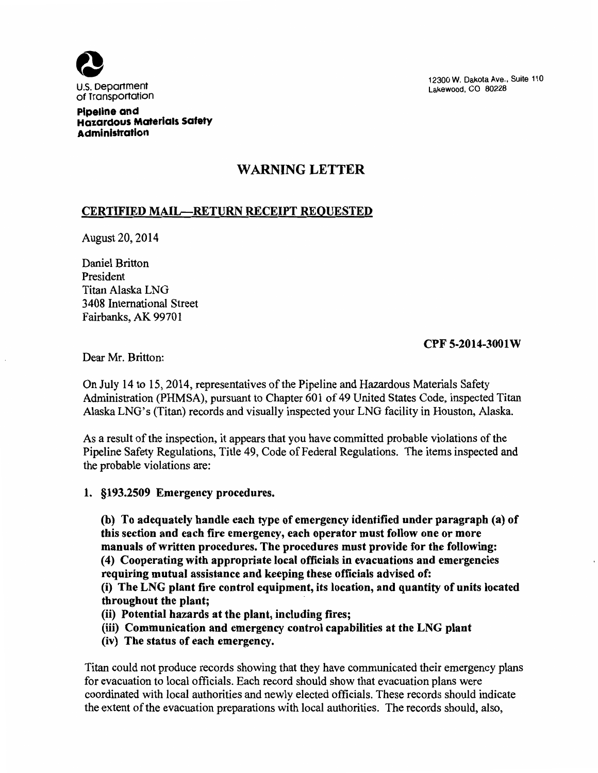

12300 W. Dakota Ave., Suite 110 Lakewood, CO 80228

Pipeline and Hazardous Materials Safety Administration

## WARNING LETTER

## CERTIFIED MAIL-RETURN RECEIPT REQUESTED

August 20, 2014

Daniel Britton President Titan Alaska LNG 3408 International Street Fairbanks, AK 99701

### CPF 5-2014-3001W

Dear Mr. Britton:

On July 14 to 15, 2014, representatives of the Pipeline and Hazardous Materials Safety Administration (PHMSA), pursuant to Chapter 601 of 49 United States Code, inspected Titan Alaska LNG's (Titan) records and visually inspected your LNG facility in Houston, Alaska.

As a result of the inspection, it appears that you have committed probable violations of the Pipeline Safety Regulations, Title 49, Code of Federal Regulations. The items inspected and the probable violations are:

1. §193.2509 Emergency procedures.

(b) To adequately handle each type of emergency identified under paragraph (a) of this section and each fire emergency, each operator must follow one or more manuals of written procedures. The procedures must provide for the following: ( 4) Cooperating with appropriate local officials in evacuations and emergencies requiring mutual assistance and keeping these officials advised of:

(i) The LNG plant fire control equipment, its location, and quantity of units located throughout the plant;

- (ii) Potential hazards at the plant, including fires;
- (iii) Communication and emergency control capabilities at the LNG plant
- (iv) The status of each emergency.

Titan could not produce records showing that they have communicated their emergency plans for evacuation to local officials. Each record should show that evacuation plans were coordinated with local authorities and newly elected officials. These records should indicate the extent of the evacuation preparations with local authorities. The records should, also,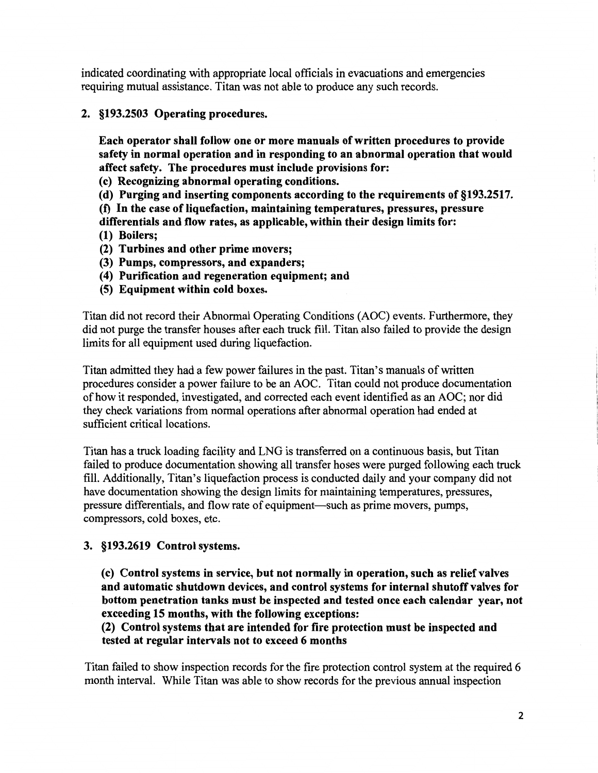indicated coordinating with appropriate local officials in evacuations and emergencies requiring mutual assistance. Titan was not able to produce any such records.

2. §193.2503 Operating procedures.

Each operator shall follow one or more manuals of written procedures to provide safety in normal operation and in responding to an abnormal operation that would affect safety. The procedures must include provisions for:

- (c) Recognizing abnormal operating conditions.
- (d) Purging and inserting components according to the requirements of §193.2517.
- (f) In the case of liquefaction, maintaining temperatures, pressures, pressure differentials and flow rates, as applicable, within their design limits for:
- (1) Boilers;
- (2) Turbines and other prime movers;
- (3) Pumps, compressors, and expanders;
- ( 4) Purification and regeneration equipment; and
- (5) Equipment within cold boxes.

Titan did not record their Abnormal Operating Conditions (AOC) events. Furthermore, they did not purge the transfer houses after each truck fill. Titan also failed to provide the design limits for all equipment used during liquefaction.

Titan admitted they had a few power failures in the past. Titan's manuals of written procedures consider a power failure to be an AOC. Titan could not produce documentation of how it responded, investigated, and corrected each event identified as an AOC; nor did they check variations from normal operations after abnormal operation had ended at sufficient critical locations.

Titan has a truck loading facility and LNG is transferred on a continuous basis, but Titan failed to produce documentation showing all transfer hoses were purged following each truck fill. Additionally, Titan's liquefaction process is conducted daily and your company did not have documentation showing the design limits for maintaining temperatures, pressures, pressure differentials, and flow rate of equipment—such as prime movers, pumps, compressors, cold boxes, etc.

# 3. §193.2619 Control systems.

(c) Control systems in service, but not normally in operation, such as relief valves and automatic shutdown devices, and control systems for internal shutoff valves for bottom penetration tanks must be inspected and tested once each calendar year, not exceeding 15 months, with the following exceptions:

(2) Control systems that are intended for fire protection must be inspected and tested at regular intervals not to exceed 6 months

Titan failed to show inspection records for the fire protection control system at the required 6 month interval. While Titan was able to show records for the previous annual inspection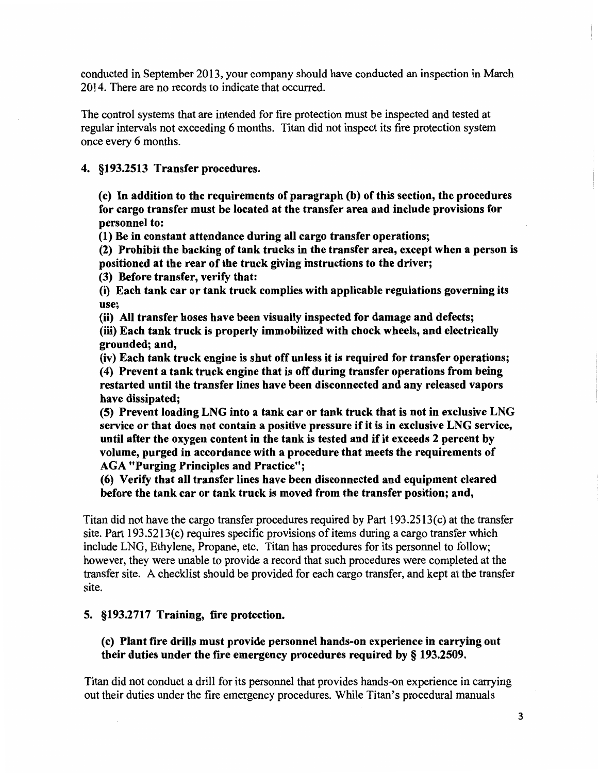conducted in September 2013, your company should have conducted an inspection in March 2014. There are no records to indicate that occurred.

The control systems that are intended for fire protection must be inspected and tested at regular intervals not exceeding 6 months. Titan did not inspect its fire protection system once every 6 months.

4. §193.2513 Transfer procedures.

(c) In addition to the requirements of paragraph (b) of this section, the procedures for cargo transfer must be located at the transfer area and include provisions for personnel to:

(1) Be in constant attendance during all cargo transfer operations;

(2) Prohibit the backing of tank trucks in the transfer area, except when a person is positioned at the rear of the truck giving instructions to the driver;

(3) Before transfer, verify that:

(i) Each tank car or tank truck complies with applicable regulations governing its use;

(ii) All transfer hoses have been visually inspected for damage and defects; (iii) Each tank truck is properly immobilized with chock wheels, and electrically grounded; and,

(iv) Each tank truck engine is shut off unless it is required for transfer operations; ( 4) Prevent a tank truck engine that is off during transfer operations from being restarted until the transfer lines have been disconnected and any released vapors have dissipated;

(5) Prevent loading LNG into a tank car or tank truck that is not in exclusive LNG service or that does not contain a positive pressure if it is in exclusive LNG service, until after the oxygen content in the tank is tested and if it exceeds 2 percent by volume, purged in accordance with a procedure that meets the requirements of AGA "Purging Principles and Practice";

(6) Verify that all transfer lines have been disconnected and equipment cleared before the tank car or tank truck is moved from the transfer position; and,

Titan did not have the cargo transfer procedures required by Part 193.2513 (c) at the transfer site. Part 193.5213(c) requires specific provisions of items during a cargo transfer which include LNG, Ethylene, Propane, etc. Titan has procedures for its personnel to follow; however, they were unable to provide a record that such procedures were completed at the transfer site. A checklist should be provided for each cargo transfer, and kept at the transfer site.

#### 5. §193.2717 Training, fire protection.

## (c) Plant fire drills must provide personnel hands-on experience in carrying out their duties under the fire emergency procedures required by§ 193.2509.

Titan did not conduct a drill for its personnel that provides hands-on experience in carrying out their duties under the fire emergency procedures. While Titan's procedural manuals